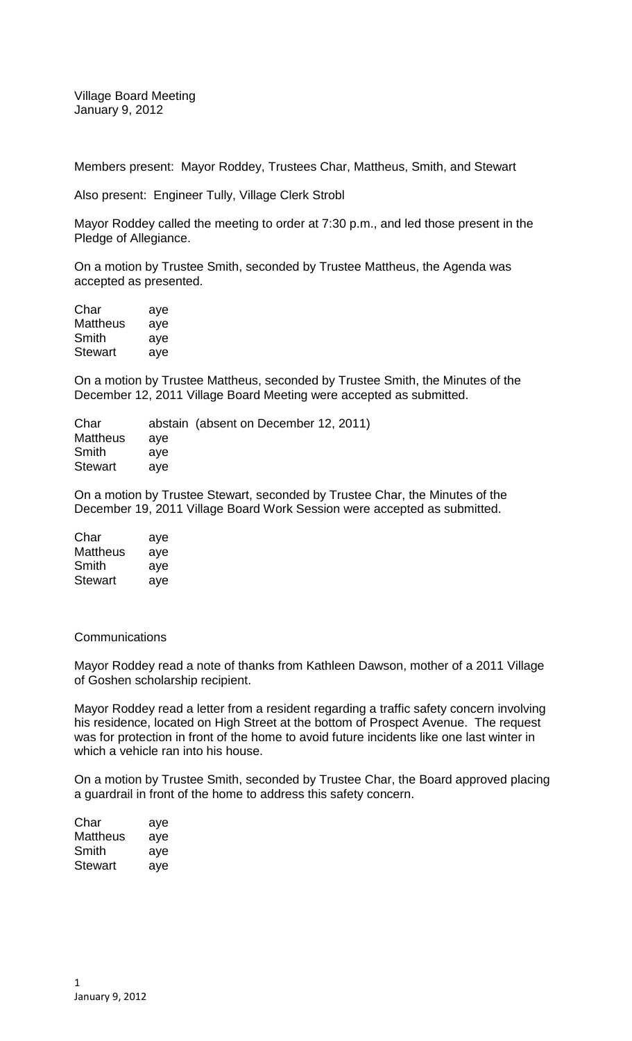Village Board Meeting January 9, 2012

Members present: Mayor Roddey, Trustees Char, Mattheus, Smith, and Stewart

Also present: Engineer Tully, Village Clerk Strobl

Mayor Roddey called the meeting to order at 7:30 p.m., and led those present in the Pledge of Allegiance.

On a motion by Trustee Smith, seconded by Trustee Mattheus, the Agenda was accepted as presented.

| Char           | aye |
|----------------|-----|
| Mattheus       | aye |
| Smith          | aye |
| <b>Stewart</b> | aye |

On a motion by Trustee Mattheus, seconded by Trustee Smith, the Minutes of the December 12, 2011 Village Board Meeting were accepted as submitted.

| Char            |     | abstain (absent on December 12, 2011) |
|-----------------|-----|---------------------------------------|
| <b>Mattheus</b> | ave |                                       |
| Smith           | ave |                                       |
| <b>Stewart</b>  | ave |                                       |

On a motion by Trustee Stewart, seconded by Trustee Char, the Minutes of the December 19, 2011 Village Board Work Session were accepted as submitted.

| Char     | aye |
|----------|-----|
| Mattheus | aye |
| Smith    | aye |
| Stewart  | aye |

## **Communications**

Mayor Roddey read a note of thanks from Kathleen Dawson, mother of a 2011 Village of Goshen scholarship recipient.

Mayor Roddey read a letter from a resident regarding a traffic safety concern involving his residence, located on High Street at the bottom of Prospect Avenue. The request was for protection in front of the home to avoid future incidents like one last winter in which a vehicle ran into his house.

On a motion by Trustee Smith, seconded by Trustee Char, the Board approved placing a guardrail in front of the home to address this safety concern.

| Char     | aye |
|----------|-----|
| Mattheus | aye |
| Smith    | aye |
| Stewart  | aye |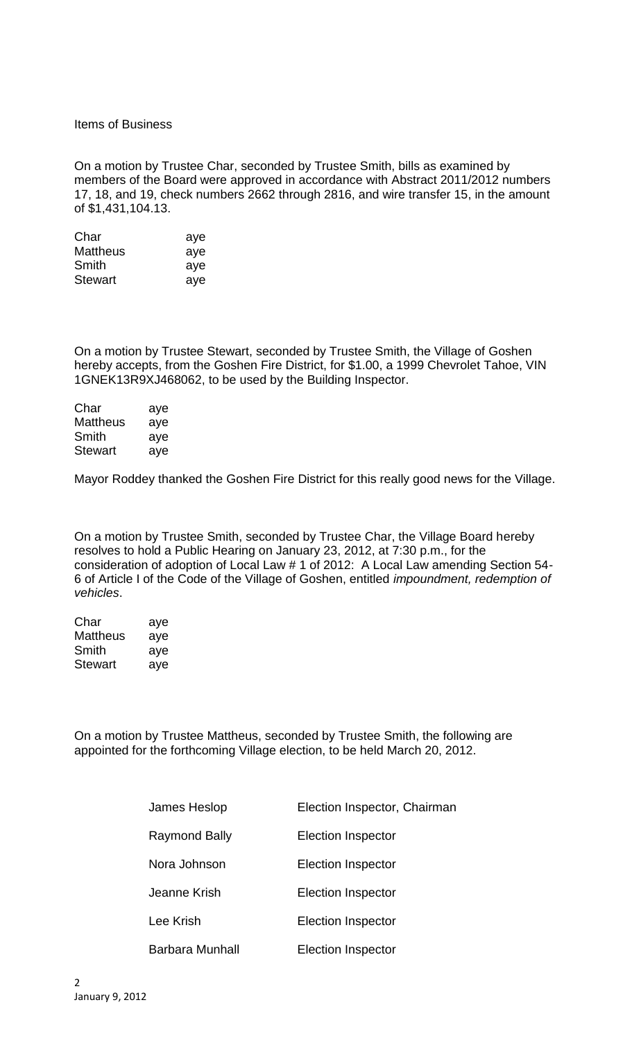Items of Business

On a motion by Trustee Char, seconded by Trustee Smith, bills as examined by members of the Board were approved in accordance with Abstract 2011/2012 numbers 17, 18, and 19, check numbers 2662 through 2816, and wire transfer 15, in the amount of \$1,431,104.13.

| Char           | aye |
|----------------|-----|
| Mattheus       | aye |
| Smith          | aye |
| <b>Stewart</b> | aye |

On a motion by Trustee Stewart, seconded by Trustee Smith, the Village of Goshen hereby accepts, from the Goshen Fire District, for \$1.00, a 1999 Chevrolet Tahoe, VIN 1GNEK13R9XJ468062, to be used by the Building Inspector.

| aye |
|-----|
| aye |
| aye |
| aye |
|     |

Mayor Roddey thanked the Goshen Fire District for this really good news for the Village.

On a motion by Trustee Smith, seconded by Trustee Char, the Village Board hereby resolves to hold a Public Hearing on January 23, 2012, at 7:30 p.m., for the consideration of adoption of Local Law # 1 of 2012: A Local Law amending Section 54- 6 of Article I of the Code of the Village of Goshen, entitled *impoundment, redemption of vehicles*.

| Char            | aye |
|-----------------|-----|
| <b>Mattheus</b> | aye |
| Smith           | aye |
| Stewart         | aye |

On a motion by Trustee Mattheus, seconded by Trustee Smith, the following are appointed for the forthcoming Village election, to be held March 20, 2012.

| James Heslop    | Election Inspector, Chairman |
|-----------------|------------------------------|
| Raymond Bally   | Election Inspector           |
| Nora Johnson    | Election Inspector           |
| Jeanne Krish    | <b>Election Inspector</b>    |
| Lee Krish       | <b>Election Inspector</b>    |
| Barbara Munhall | <b>Election Inspector</b>    |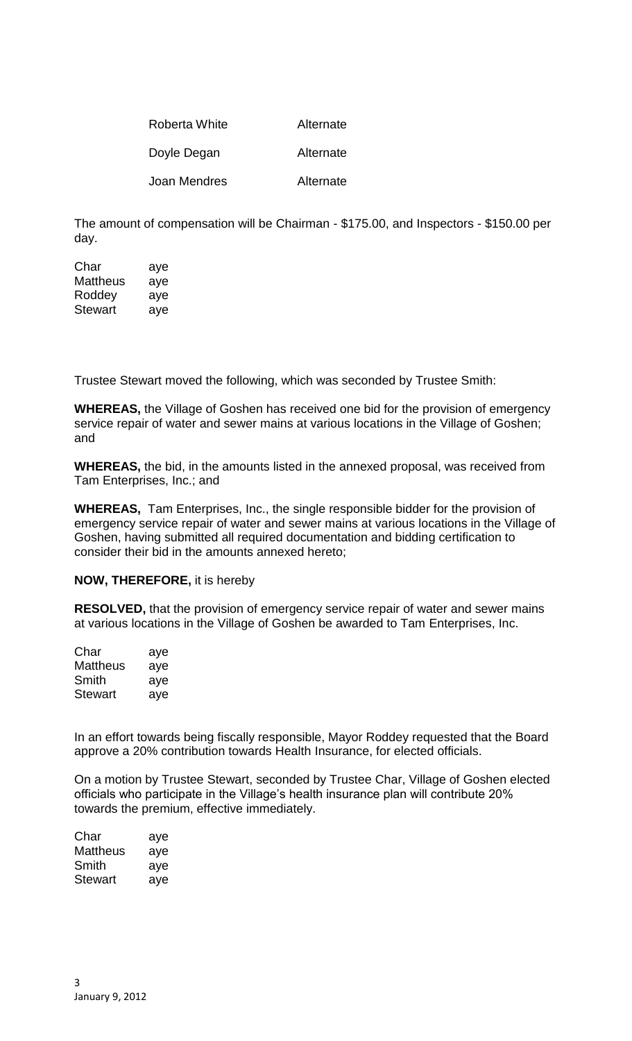| Roberta White | Alternate |
|---------------|-----------|
| Doyle Degan   | Alternate |
| Joan Mendres  | Alternate |

The amount of compensation will be Chairman - \$175.00, and Inspectors - \$150.00 per day.

| Char     | aye |
|----------|-----|
| Mattheus | aye |
| Roddey   | aye |
| Stewart  | aye |

Trustee Stewart moved the following, which was seconded by Trustee Smith:

**WHEREAS,** the Village of Goshen has received one bid for the provision of emergency service repair of water and sewer mains at various locations in the Village of Goshen; and

**WHEREAS,** the bid, in the amounts listed in the annexed proposal, was received from Tam Enterprises, Inc.; and

**WHEREAS,** Tam Enterprises, Inc., the single responsible bidder for the provision of emergency service repair of water and sewer mains at various locations in the Village of Goshen, having submitted all required documentation and bidding certification to consider their bid in the amounts annexed hereto;

## **NOW, THEREFORE,** it is hereby

**RESOLVED,** that the provision of emergency service repair of water and sewer mains at various locations in the Village of Goshen be awarded to Tam Enterprises, Inc.

| Char           | aye |
|----------------|-----|
| Mattheus       | aye |
| Smith          | aye |
| <b>Stewart</b> | aye |

In an effort towards being fiscally responsible, Mayor Roddey requested that the Board approve a 20% contribution towards Health Insurance, for elected officials.

On a motion by Trustee Stewart, seconded by Trustee Char, Village of Goshen elected officials who participate in the Village's health insurance plan will contribute 20% towards the premium, effective immediately.

| Char     | aye |
|----------|-----|
| Mattheus | aye |
| Smith    | aye |
| Stewart  | aye |